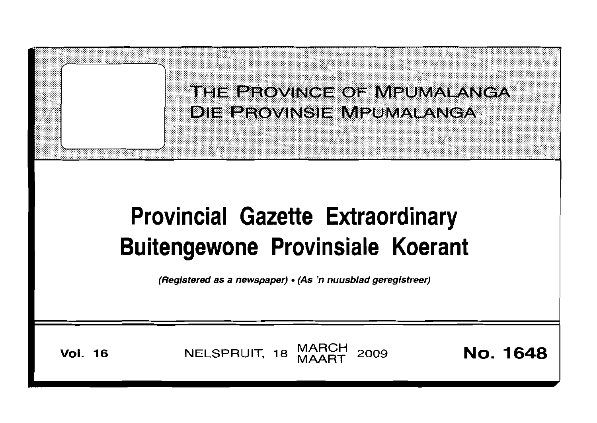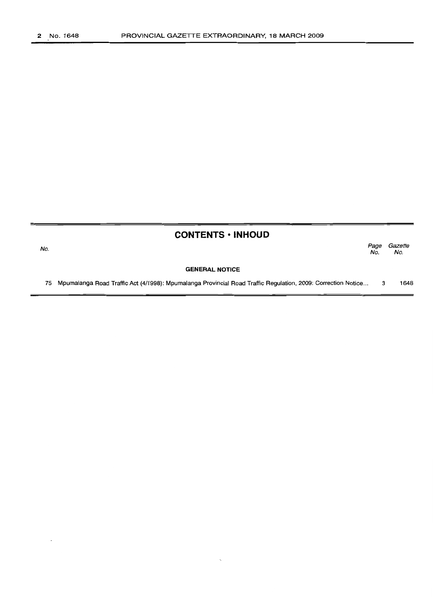No.

## **CONTENTS • INHOUD**

*Page Gazette* No. No.

#### **GENERAL NOTICE**

75 Mpumalanga Road Traffic Act (4/1998): Mpumalanga Provincial Road Traffic Regulation, 2009: Correction Notice... 3 1648